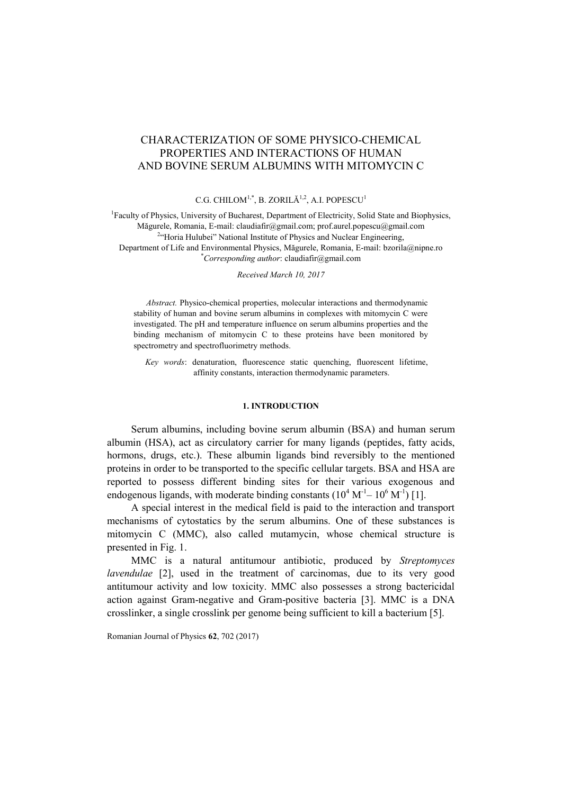# CHARACTERIZATION OF SOME PHYSICO-CHEMICAL PROPERTIES AND INTERACTIONS OF HUMAN AND BOVINE SERUM ALBUMINS WITH MITOMYCIN C

## C.G. CHILOM<sup>1,\*</sup>, B. ZORILĂ<sup>1,2</sup>, A.I. POPESCU<sup>1</sup>

<sup>1</sup>Faculty of Physics, University of Bucharest, Department of Electricity, Solid State and Biophysics, Măgurele, Romania, E-mail[: claudiafir@gmail.com;](mailto:claudiafir@gmail.com) [prof.aurel.popescu@gmail.](mailto:prof.aurel.popescu@gmail)com <sup>2</sup>"Horia Hulubei" National Institute of Physics and Nuclear Engineering, Department of Life and Environmental Physics, Măgurele, Romania, E-mail: [bzorila@nipne.ro](mailto:bzorila@nipne.ro) \**Corresponding author*[: claudiafir@gmail.com](mailto:claudiafir@gmail.com)

*Received March 10, 2017*

*Abstract.* Physico-chemical properties, molecular interactions and thermodynamic stability of human and bovine serum albumins in complexes with mitomycin C were investigated. The pH and temperature influence on serum albumins properties and the binding mechanism of mitomycin C to these proteins have been monitored by spectrometry and spectrofluorimetry methods.

*Key words*: denaturation, fluorescence static quenching, fluorescent lifetime, affinity constants, interaction thermodynamic parameters.

## **1. INTRODUCTION**

Serum albumins, including bovine serum albumin (BSA) and human serum albumin (HSA), act as circulatory carrier for many ligands (peptides, fatty acids, hormons, drugs, etc.). These albumin ligands bind reversibly to the mentioned proteins in order to be transported to the specific cellular targets. BSA and HSA are reported to possess different binding sites for their various exogenous and endogenous ligands, with moderate binding constants  $(10^4 \text{ M}^{-1} - 10^6 \text{ M}^{-1})$  [1].

A special interest in the medical field is paid to the interaction and transport mechanisms of cytostatics by the serum albumins. One of these substances is mitomycin C (MMC), also called mutamycin, whose chemical structure is presented in Fig. 1.

MMC is a natural antitumour antibiotic, produced by *Streptomyces lavendulae* [2], used in the treatment of carcinomas, due to its very good antitumour activity and low toxicity. MMC also possesses a strong bactericidal action against Gram-negative and Gram-positive bacteria [3]. MMC is a DNA crosslinker, a single crosslink per genome being sufficient to kill a bacterium [5].

Romanian Journal of Physics **62**, 702 (2017)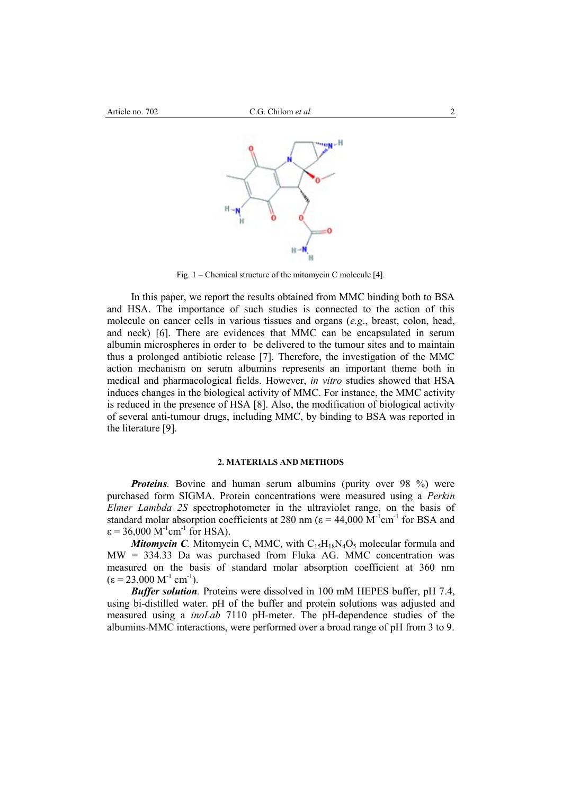

Fig. 1 – Chemical structure of the mitomycin C molecule [4].

In this paper, we report the results obtained from MMC binding both to BSA and HSA. The importance of such studies is connected to the action of this molecule on cancer cells in various tissues and organs (*e.g*., breast, colon, head, and neck) [6]. There are evidences that MMC can be encapsulated in serum albumin microspheres in order to be delivered to the tumour sites and to maintain thus a prolonged antibiotic release [7]. Therefore, the investigation of the MMC action mechanism on serum albumins represents an important theme both in medical and pharmacological fields. However, *in vitro* studies showed that HSA induces changes in the biological activity of MMC. For instance, the MMC activity is reduced in the presence of HSA [8]. Also, the modification of biological activity of several anti-tumour drugs, including MMC, by binding to BSA was reported in the literature [9].

### **2. MATERIALS AND METHODS**

*Proteins.* Bovine and human serum albumins (purity over 98 %) were purchased form SIGMA. Protein concentrations were measured using a *Perkin Elmer Lambda 2S* spectrophotometer in the ultraviolet range, on the basis of standard molar absorption coefficients at 280 nm ( $\varepsilon$  = 44,000 M<sup>-1</sup>cm<sup>-1</sup> for BSA and  $\varepsilon$  = 36,000 M<sup>-1</sup>cm<sup>-1</sup> for HSA).

*Mitomycin C.* Mitomycin C, MMC, with  $C_{15}H_{18}N_4O_5$  molecular formula and MW = 334.33 Da was purchased from Fluka AG. MMC concentration was measured on the basis of standard molar absorption coefficient at 360 nm  $(\epsilon = 23,000 \text{ M}^{-1} \text{ cm}^{-1}).$ 

*Buffer solution.* Proteins were dissolved in 100 mM HEPES buffer, pH 7.4, using bi-distilled water. pH of the buffer and protein solutions was adjusted and measured using a *inoLab* 7110 pH-meter. The pH-dependence studies of the albumins-MMC interactions, were performed over a broad range of pH from 3 to 9.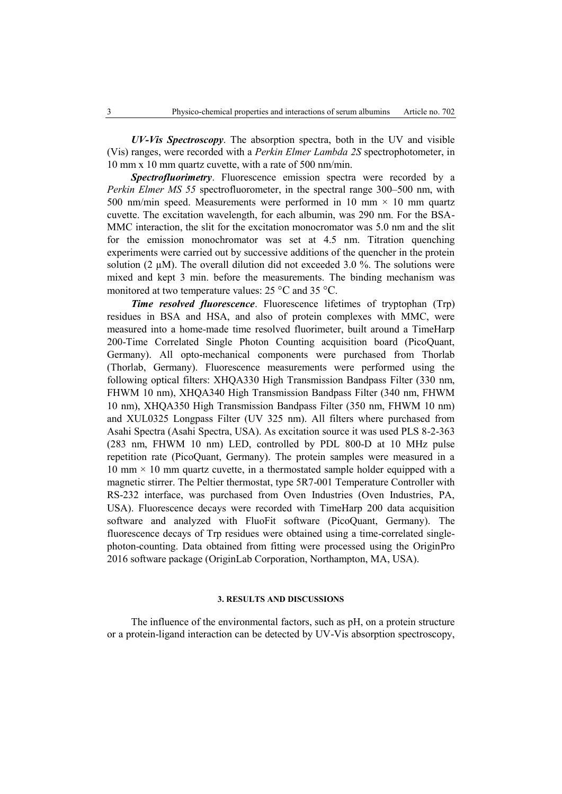*UV-Vis Spectroscopy*. The absorption spectra, both in the UV and visible (Vis) ranges, were recorded with a *Perkin Elmer Lambda 2S* spectrophotometer, in 10 mm x 10 mm quartz cuvette, with a rate of 500 nm/min.

*Spectrofluorimetry*. Fluorescence emission spectra were recorded by a *Perkin Elmer MS 55* spectrofluorometer, in the spectral range 300–500 nm, with 500 nm/min speed. Measurements were performed in 10 mm  $\times$  10 mm quartz cuvette. The excitation wavelength, for each albumin, was 290 nm. For the BSA-MMC interaction, the slit for the excitation monocromator was 5.0 nm and the slit for the emission monochromator was set at 4.5 nm. Titration quenching experiments were carried out by successive additions of the quencher in the protein solution (2  $\mu$ M). The overall dilution did not exceeded 3.0 %. The solutions were mixed and kept 3 min. before the measurements. The binding mechanism was monitored at two temperature values: 25 °C and 35 °C.

*Time resolved fluorescence*. Fluorescence lifetimes of tryptophan (Trp) residues in BSA and HSA, and also of protein complexes with MMC, were measured into a home-made time resolved fluorimeter, built around a TimeHarp 200-Time Correlated Single Photon Counting acquisition board (PicoQuant, Germany). All opto-mechanical components were purchased from Thorlab (Thorlab, Germany). Fluorescence measurements were performed using the following optical filters: XHQA330 High Transmission Bandpass Filter (330 nm, FHWM 10 nm), XHQA340 High Transmission Bandpass Filter (340 nm, FHWM 10 nm), XHQA350 High Transmission Bandpass Filter (350 nm, FHWM 10 nm) and XUL0325 Longpass Filter (UV 325 nm). All filters where purchased from Asahi Spectra (Asahi Spectra, USA). As excitation source it was used PLS 8-2-363 (283 nm, FHWM 10 nm) LED, controlled by PDL 800-D at 10 MHz pulse repetition rate (PicoQuant, Germany). The protein samples were measured in a  $10 \text{ mm} \times 10 \text{ mm}$  quartz cuvette, in a thermostated sample holder equipped with a magnetic stirrer. The Peltier thermostat, type 5R7-001 Temperature Controller with RS-232 interface, was purchased from Oven Industries (Oven Industries, PA, USA). Fluorescence decays were recorded with TimeHarp 200 data acquisition software and analyzed with FluoFit software (PicoQuant, Germany). The fluorescence decays of Trp residues were obtained using a time-correlated singlephoton-counting. Data obtained from fitting were processed using the OriginPro 2016 software package (OriginLab Corporation, Northampton, MA, USA).

## **3. RESULTS AND DISCUSSIONS**

The influence of the environmental factors, such as pH, on a protein structure or a protein-ligand interaction can be detected by UV-Vis absorption spectroscopy,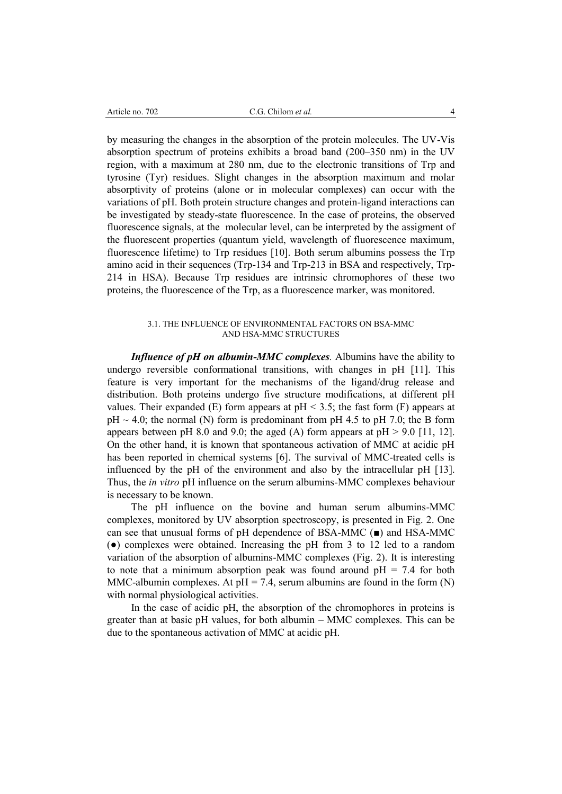by measuring the changes in the absorption of the protein molecules. The UV-Vis absorption spectrum of proteins exhibits a broad band (200–350 nm) in the UV region, with a maximum at 280 nm, due to the electronic transitions of Trp and tyrosine (Tyr) residues. Slight changes in the absorption maximum and molar absorptivity of proteins (alone or in molecular complexes) can occur with the variations of pH. Both protein structure changes and protein-ligand interactions can be investigated by steady-state fluorescence. In the case of proteins, the observed fluorescence signals, at the molecular level, can be interpreted by the assigment of the fluorescent properties (quantum yield, wavelength of fluorescence maximum, fluorescence lifetime) to Trp residues [10]. Both serum albumins possess the Trp amino acid in their sequences (Trp-134 and Trp-213 in BSA and respectively, Trp-214 in HSA). Because Trp residues are intrinsic chromophores of these two proteins, the fluorescence of the Trp, as a fluorescence marker, was monitored.

## 3.1. THE INFLUENCE OF ENVIRONMENTAL FACTORS ON BSA-MMC AND HSA-MMC STRUCTURES

*Influence of pH on albumin-MMC complexes.* Albumins have the ability to undergo reversible conformational transitions, with changes in pH [11]. This feature is very important for the mechanisms of the ligand/drug release and distribution. Both proteins undergo five structure modifications, at different pH values. Their expanded (E) form appears at  $pH < 3.5$ ; the fast form (F) appears at  $pH \sim 4.0$ ; the normal (N) form is predominant from  $pH$  4.5 to  $pH$  7.0; the B form appears between pH 8.0 and 9.0; the aged (A) form appears at  $pH > 9.0$  [11, 12]. On the other hand, it is known that spontaneous activation of MMC at acidic pH has been reported in chemical systems [6]. The survival of MMC-treated cells is influenced by the pH of the environment and also by the intracellular pH [13]. Thus, the *in vitro* pH influence on the serum albumins-MMC complexes behaviour is necessary to be known.

The pH influence on the bovine and human serum albumins-MMC complexes, monitored by UV absorption spectroscopy, is presented in Fig. 2. One can see that unusual forms of pH dependence of BSA-MMC (■) and HSA-MMC (●) complexes were obtained. Increasing the pH from 3 to 12 led to a random variation of the absorption of albumins-MMC complexes (Fig. 2). It is interesting to note that a minimum absorption peak was found around  $pH = 7.4$  for both MMC-albumin complexes. At  $pH = 7.4$ , serum albumins are found in the form (N) with normal physiological activities.

In the case of acidic pH, the absorption of the chromophores in proteins is greater than at basic pH values, for both albumin – MMC complexes. This can be due to the spontaneous activation of MMC at acidic pH.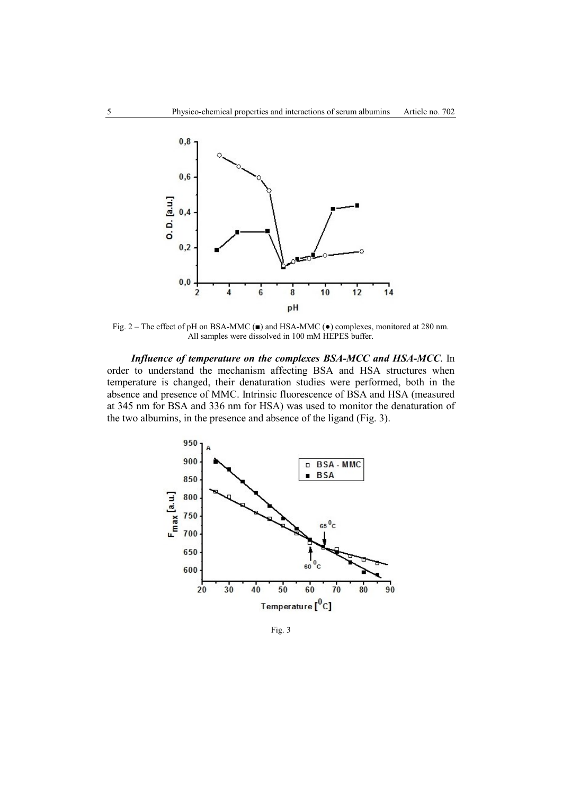

Fig. 2 – The effect of pH on BSA-MMC (■) and HSA-MMC (●) complexes, monitored at 280 nm. All samples were dissolved in 100 mM HEPES buffer.

*Influence of temperature on the complexes BSA-MCC and HSA-MCC*. In order to understand the mechanism affecting BSA and HSA structures when temperature is changed, their denaturation studies were performed, both in the absence and presence of MMC. Intrinsic fluorescence of BSA and HSA (measured at 345 nm for BSA and 336 nm for HSA) was used to monitor the denaturation of the two albumins, in the presence and absence of the ligand (Fig. 3).



Fig. 3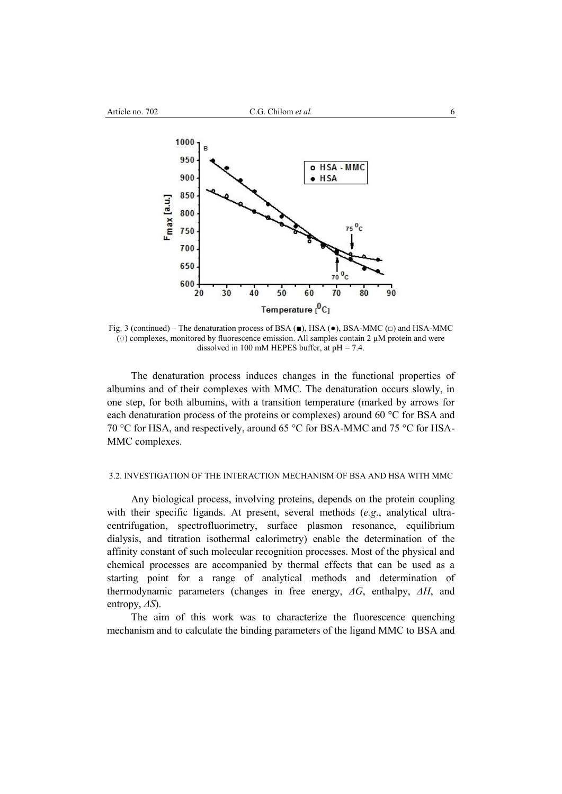

Fig. 3 (continued) – The denaturation process of BSA (■), HSA (●), BSA-MMC (□) and HSA-MMC  $\circ$  complexes, monitored by fluorescence emission. All samples contain 2  $\mu$ M protein and were dissolved in 100 mM HEPES buffer, at  $pH = 7.4$ .

The denaturation process induces changes in the functional properties of albumins and of their complexes with MMC. The denaturation occurs slowly, in one step, for both albumins, with a transition temperature (marked by arrows for each denaturation process of the proteins or complexes) around 60 °C for BSA and 70 °C for HSA, and respectively, around 65 °C for BSA-MMC and 75 °C for HSA-MMC complexes.

#### 3.2. INVESTIGATION OF THE INTERACTION MECHANISM OF BSA AND HSA WITH MMC

Any biological process, involving proteins, depends on the protein coupling with their specific ligands. At present, several methods (*e.g*., analytical ultracentrifugation, spectrofluorimetry, surface plasmon resonance, equilibrium dialysis, and titration isothermal calorimetry) enable the determination of the affinity constant of such molecular recognition processes. Most of the physical and chemical processes are accompanied by thermal effects that can be used as a starting point for a range of analytical methods and determination of thermodynamic parameters (changes in free energy, *ΔG*, enthalpy, *ΔH*, and entropy, *ΔS*).

The aim of this work was to characterize the fluorescence quenching mechanism and to calculate the binding parameters of the ligand MMC to BSA and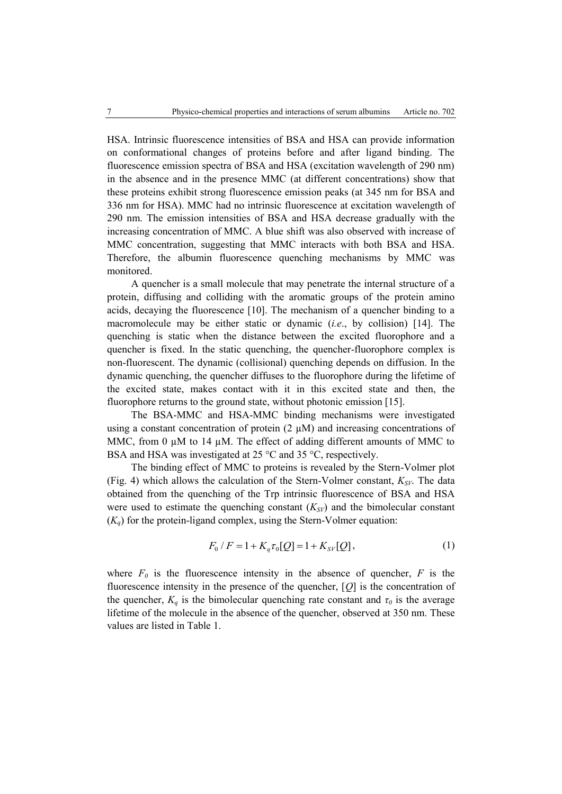HSA. Intrinsic fluorescence intensities of BSA and HSA can provide information on conformational changes of proteins before and after ligand binding. The fluorescence emission spectra of BSA and HSA (excitation wavelength of 290 nm) in the absence and in the presence MMC (at different concentrations) show that these proteins exhibit strong fluorescence emission peaks (at 345 nm for BSA and 336 nm for HSA). MMC had no intrinsic fluorescence at excitation wavelength of 290 nm. The emission intensities of BSA and HSA decrease gradually with the increasing concentration of MMC. A blue shift was also observed with increase of MMC concentration, suggesting that MMC interacts with both BSA and HSA. Therefore, the albumin fluorescence quenching mechanisms by MMC was monitored.

A quencher is a small molecule that may penetrate the internal structure of a protein, diffusing and colliding with the aromatic groups of the protein amino acids, decaying the fluorescence [10]. The mechanism of a quencher binding to a macromolecule may be either static or dynamic (*i.e*., by collision) [14]. The quenching is static when the distance between the excited fluorophore and a quencher is fixed. In the static quenching, the quencher-fluorophore complex is non-fluorescent. The dynamic (collisional) quenching depends on diffusion. In the dynamic quenching, the quencher diffuses to the fluorophore during the lifetime of the excited state, makes contact with it in this excited state and then, the fluorophore returns to the ground state, without photonic emission [15].

The BSA-MMC and HSA-MMC binding mechanisms were investigated using a constant concentration of protein  $(2 \mu M)$  and increasing concentrations of MMC, from 0  $\mu$ M to 14  $\mu$ M. The effect of adding different amounts of MMC to BSA and HSA was investigated at 25 °C and 35 °C, respectively.

The binding effect of MMC to proteins is revealed by the Stern-Volmer plot (Fig. 4) which allows the calculation of the Stern-Volmer constant,  $K_{SV}$ . The data obtained from the quenching of the Trp intrinsic fluorescence of BSA and HSA were used to estimate the quenching constant  $(K_{SV})$  and the bimolecular constant  $(K_q)$  for the protein-ligand complex, using the Stern-Volmer equation:

$$
F_0 / F = 1 + K_q \tau_0[Q] = 1 + K_{SV}[Q], \tag{1}
$$

where  $F_0$  is the fluorescence intensity in the absence of quencher,  $F$  is the fluorescence intensity in the presence of the quencher, [*Q*] is the concentration of the quencher,  $K_q$  is the bimolecular quenching rate constant and  $\tau_q$  is the average lifetime of the molecule in the absence of the quencher, observed at 350 nm. These values are listed in Table 1.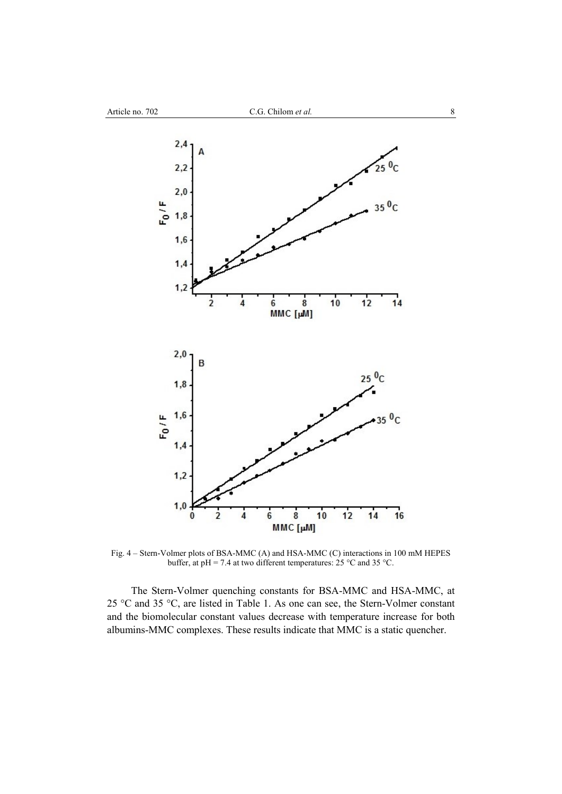

Fig. 4 – Stern-Volmer plots of BSA-MMC (A) and HSA-MMC (C) interactions in 100 mM HEPES buffer, at pH = 7.4 at two different temperatures: 25  $^{\circ}$ C and 35  $^{\circ}$ C.

The Stern-Volmer quenching constants for BSA-MMC and HSA-MMC, at 25 °C and 35 °C, are listed in Table 1. As one can see, the Stern-Volmer constant and the biomolecular constant values decrease with temperature increase for both albumins-MMC complexes. These results indicate that MMC is a static quencher.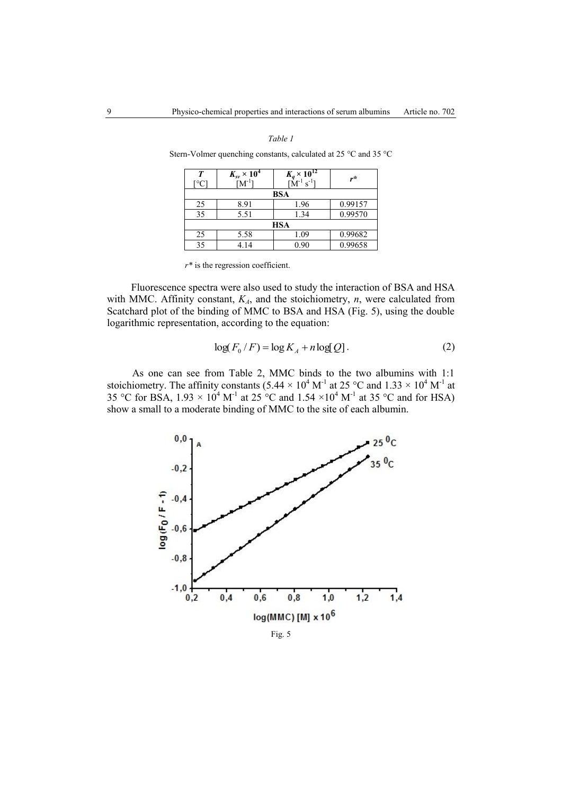### *Table 1*

| T<br>L0C. | $K_{\rm sv} \times 10^4$<br>$\rm [M^{\circ}]$ | $K_q \times 10^{12}$<br>$s^{-1}$ | r*      |  |  |  |  |
|-----------|-----------------------------------------------|----------------------------------|---------|--|--|--|--|
| BSA       |                                               |                                  |         |  |  |  |  |
| 25        | 8.91                                          | 1.96                             | 0.99157 |  |  |  |  |
| 35        | 5.51                                          | 1.34                             | 0.99570 |  |  |  |  |
| HSA       |                                               |                                  |         |  |  |  |  |
| 25        | 5.58                                          | 1.09                             | 0.99682 |  |  |  |  |
| 35        | 4.14                                          | 0.90                             | 0.99658 |  |  |  |  |

Stern-Volmer quenching constants, calculated at 25 °C and 35 °C

*r\** is the regression coefficient.

Fluorescence spectra were also used to study the interaction of BSA and HSA with MMC. Affinity constant,  $K_A$ , and the stoichiometry,  $n$ , were calculated from Scatchard plot of the binding of MMC to BSA and HSA (Fig. 5), using the double logarithmic representation, according to the equation:

$$
\log(F_0/F) = \log K_A + n \log Q.
$$
 (2)

As one can see from Table 2, MMC binds to the two albumins with 1:1 stoichiometry. The affinity constants  $(5.44 \times 10^4 \text{ M}^{-1})$  at  $25 \text{ °C}$  and  $1.33 \times 10^4 \text{ M}^{-1}$  at 35 °C for BSA,  $1.93 \times 10^4$  M<sup>-1</sup> at 25 °C and  $1.54 \times 10^4$  M<sup>-1</sup> at 35 °C and for HSA) show a small to a moderate binding of MMC to the site of each albumin.



Fig. 5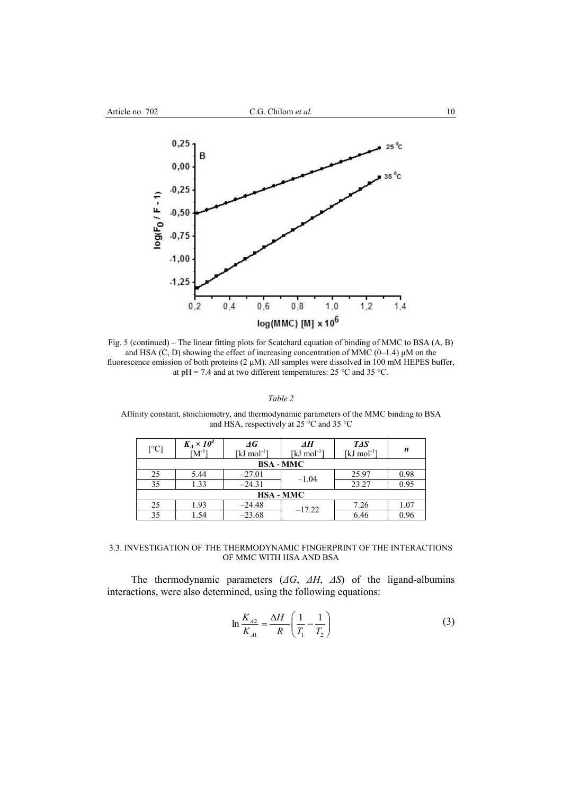

Fig. 5 (continued) – The linear fitting plots for Scatchard equation of binding of MMC to BSA (A, B) and HSA (C, D) showing the effect of increasing concentration of MMC (0–1.4) μM on the fluorescence emission of both proteins  $(2 \mu M)$ . All samples were dissolved in 100 mM HEPES buffer, at pH = 7.4 and at two different temperatures: 25 °C and 35 °C.

## *Table 2*

Affinity constant, stoichiometry, and thermodynamic parameters of the MMC binding to BSA and HSA, respectively at 25 °C and 35 °C

| $\lceil{^{\circ}C}\rceil$ | $K_A \times 10^4$<br>$[M^{-1}]$ | $\varDelta G$<br>[ $kJ$ mol <sup>-1</sup> ] | ΔH<br>[kJ mol <sup>-1</sup> ] | TAS<br>[ $kJ \text{ mol}^{-1}$ ] | n    |  |  |  |
|---------------------------|---------------------------------|---------------------------------------------|-------------------------------|----------------------------------|------|--|--|--|
| <b>BSA - MMC</b>          |                                 |                                             |                               |                                  |      |  |  |  |
| 25                        | 5.44                            | $-27.01$                                    |                               | 25.97                            | 0.98 |  |  |  |
| 35                        | 1.33                            | $-24.31$                                    | $-1.04$                       | 23.27                            | 0.95 |  |  |  |
| <b>HSA - MMC</b>          |                                 |                                             |                               |                                  |      |  |  |  |
| 25                        | 1.93                            | $-24.48$                                    | $-17.22$                      | 7.26                             | 1.07 |  |  |  |
| 35                        | 1.54                            | $-23.68$                                    |                               | 6.46                             | 0.96 |  |  |  |

## 3.3. INVESTIGATION OF THE THERMODYNAMIC FINGERPRINT OF THE INTERACTIONS OF MMC WITH HSA AND BSA

The thermodynamic parameters (*ΔG*, *ΔH*, *ΔS*) of the ligand-albumins interactions, were also determined, using the following equations:

$$
\ln \frac{K_{A2}}{K_{A1}} = \frac{\Delta H}{R} \left( \frac{1}{T_1} - \frac{1}{T_2} \right)
$$
 (3)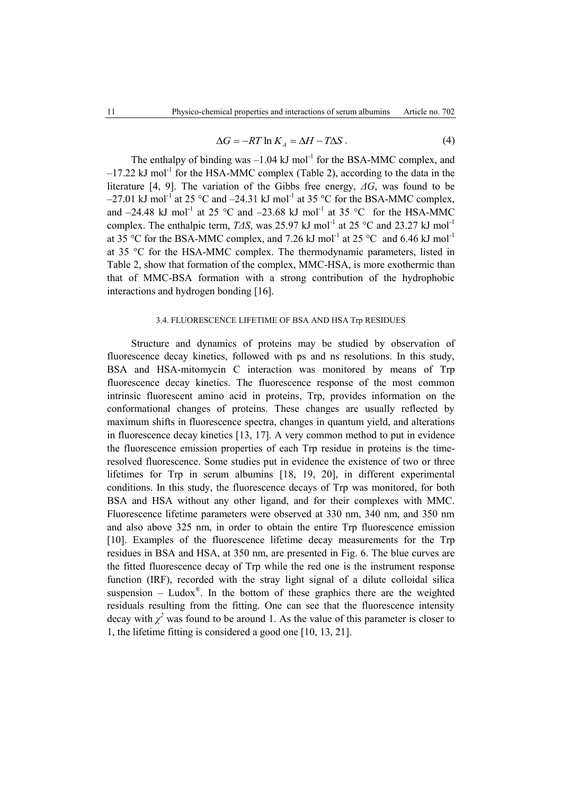$$
\Delta G = -RT \ln K_A = \Delta H - T\Delta S \,. \tag{4}
$$

The enthalpy of binding was  $-1.04 \text{ kJ mol}^{-1}$  for the BSA-MMC complex, and  $-17.22$  kJ mol<sup>-1</sup> for the HSA-MMC complex (Table 2), according to the data in the literature [4, 9]. The variation of the Gibbs free energy, *ΔG*, was found to be  $-27.01$  kJ mol<sup>-1</sup> at 25 °C and  $-24.31$  kJ mol<sup>-1</sup> at 35 °C for the BSA-MMC complex, and  $-24.48$  kJ mol<sup>-1</sup> at 25 °C and  $-23.68$  kJ mol<sup>-1</sup> at 35 °C for the HSA-MMC complex. The enthalpic term, *TΔS*, was 25.97 kJ mol<sup>-1</sup> at 25 °C and 23.27 kJ mol<sup>-1</sup> at 35 °C for the BSA-MMC complex, and 7.26 kJ mol<sup>-1</sup> at 25 °C and 6.46 kJ mol<sup>-1</sup> at 35 °C for the HSA-MMC complex. The thermodynamic parameters, listed in Table 2, show that formation of the complex, MMC-HSA, is more exothermic than that of MMC-BSA formation with a strong contribution of the hydrophobic interactions and hydrogen bonding [16].

### 3.4. FLUORESCENCE LIFETIME OF BSA AND HSA Trp RESIDUES

Structure and dynamics of proteins may be studied by observation of fluorescence decay kinetics, followed with ps and ns resolutions. In this study, BSA and HSA-mitomycin C interaction was monitored by means of Trp fluorescence decay kinetics. The fluorescence response of the most common intrinsic fluorescent amino acid in proteins, Trp, provides information on the conformational changes of proteins. These changes are usually reflected by maximum shifts in fluorescence spectra, changes in quantum yield, and alterations in fluorescence decay kinetics [13, 17]. A very common method to put in evidence the fluorescence emission properties of each Trp residue in proteins is the timeresolved fluorescence. Some studies put in evidence the existence of two or three lifetimes for Trp in serum albumins [18, 19, 20], in different experimental conditions. In this study, the fluorescence decays of Trp was monitored, for both BSA and HSA without any other ligand, and for their complexes with MMC. Fluorescence lifetime parameters were observed at 330 nm, 340 nm, and 350 nm and also above 325 nm, in order to obtain the entire Trp fluorescence emission [10]. Examples of the fluorescence lifetime decay measurements for the Trp residues in BSA and HSA, at 350 nm, are presented in Fig. 6. The blue curves are the fitted fluorescence decay of Trp while the red one is the instrument response function (IRF), recorded with the stray light signal of a dilute colloidal silica suspension  $-$  Ludox<sup>®</sup>. In the bottom of these graphics there are the weighted residuals resulting from the fitting. One can see that the fluorescence intensity decay with  $\chi^2$  was found to be around 1. As the value of this parameter is closer to 1, the lifetime fitting is considered a good one [10, 13, 21].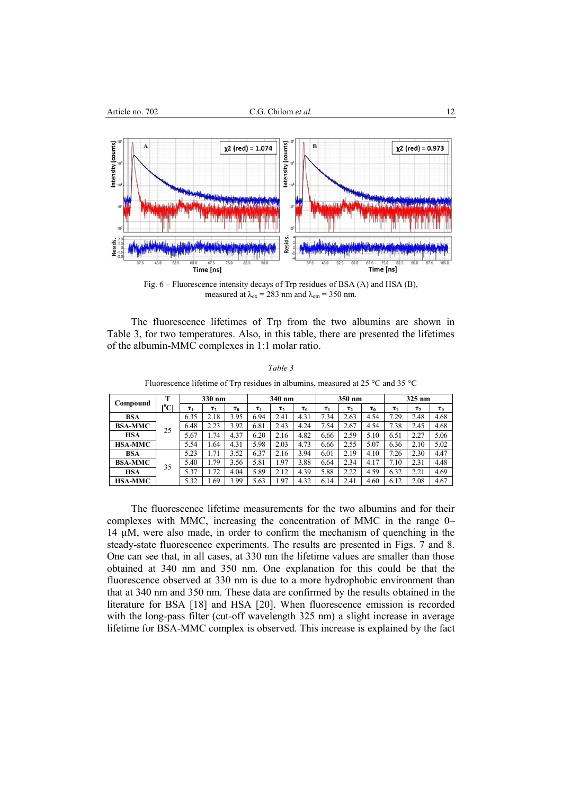

Fig. 6 – Fluorescence intensity decays of Trp residues of BSA (A) and HSA (B), measured at  $\lambda_{\text{ex}} = 283 \text{ nm}$  and  $\lambda_{\text{em}} = 350 \text{ nm}$ .

The fluorescence lifetimes of Trp from the two albumins are shown in Table 3, for two temperatures. Also, in this table, there are presented the lifetimes of the albumin-MMC complexes in 1:1 molar ratio.

| Compound       | т    | 330 nm   |          | 340 nm   |          | 350 nm   |          |          | 325 nm   |            |          |          |          |
|----------------|------|----------|----------|----------|----------|----------|----------|----------|----------|------------|----------|----------|----------|
|                | [°C] | $\tau_1$ | $\tau_2$ | $\tau_0$ | $\tau_1$ | $\tau_2$ | $\tau_0$ | $\tau_1$ | $\tau_2$ | $\tau_{0}$ | $\tau_1$ | $\tau_2$ | $\tau_0$ |
| <b>BSA</b>     | 25   | 6.35     | 2.18     | 3.95     | 6.94     | 2.41     | 4.31     | 7.34     | 2.63     | 4.54       | 7.29     | 2.48     | 4.68     |
| <b>BSA-MMC</b> |      | 6.48     | 2.23     | 3.92     | 6.81     | 2.43     | 4.24     | 7.54     | 2.67     | 4.54       | 7.38     | 2.45     | 4.68     |
| <b>HSA</b>     |      | 5.67     | 1.74     | 4.37     | 6.20     | 2.16     | 4.82     | 6.66     | 2.59     | 5.10       | 6.51     | 2.27     | 5.06     |
| <b>HSA-MMC</b> |      | 5.54     | 1.64     | 4.31     | 5.98     | 2.03     | 4.73     | 6.66     | 2.55     | 5.07       | 6.36     | 2.10     | 5.02     |
| <b>BSA</b>     | 35   | 5.23     | 1.71     | 3.52     | 6.37     | 2.16     | 3.94     | 6.01     | 2.19     | 4.10       | 7.26     | 2.30     | 4.47     |
| <b>BSA-MMC</b> |      | 5.40     | 1.79     | 3.56     | 5.81     | .97      | 3.88     | 6.64     | 2.34     | 4.17       | 7.10     | 2.31     | 4.48     |
| HSA            |      | 5.37     | l.72     | 4.04     | 5.89     | 2.12     | 4.39     | 5.88     | 2.22     | 4.59       | 6.32     | 2.21     | 4.69     |
| <b>HSA-MMC</b> |      | 5.32     | 1.69     | 3.99     | 5.63     | .97      | 4.32     | 6.14     | 2.41     | 4.60       | 6.12     | 2.08     | 4.67     |

*Table 3* Fluorescence lifetime of Trp residues in albumins, measured at 25 °C and 35 °C

The fluorescence lifetime measurements for the two albumins and for their complexes with MMC, increasing the concentration of MMC in the range 0– 14 µM, were also made, in order to confirm the mechanism of quenching in the steady-state fluorescence experiments. The results are presented in Figs. 7 and 8. One can see that, in all cases, at 330 nm the lifetime values are smaller than those obtained at 340 nm and 350 nm. One explanation for this could be that the fluorescence observed at 330 nm is due to a more hydrophobic environment than that at 340 nm and 350 nm. These data are confirmed by the results obtained in the literature for BSA [18] and HSA [20]. When fluorescence emission is recorded with the long-pass filter (cut-off wavelength 325 nm) a slight increase in average lifetime for BSA-MMC complex is observed. This increase is explained by the fact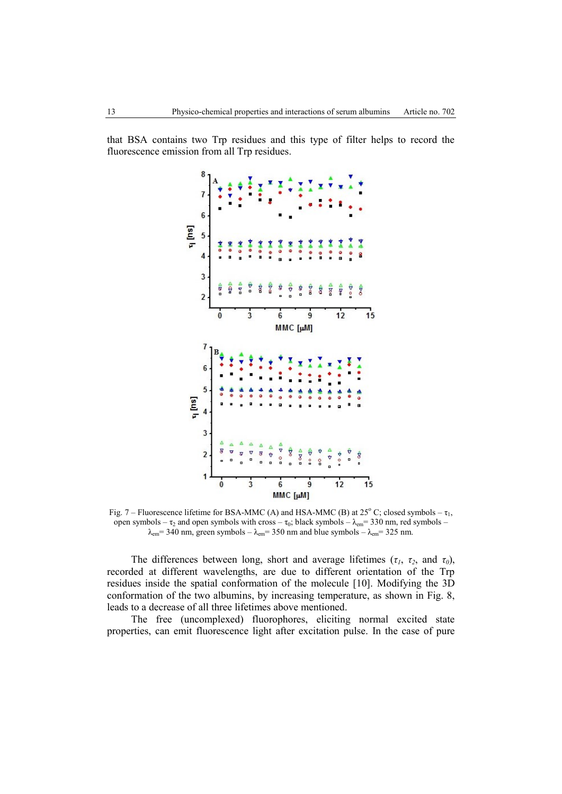that BSA contains two Trp residues and this type of filter helps to record the fluorescence emission from all Trp residues.



Fig. 7 – Fluorescence lifetime for BSA-MMC (A) and HSA-MMC (B) at  $25^{\circ}$  C; closed symbols –  $\tau_1$ , open symbols –  $\tau_2$  and open symbols with cross –  $\tau_0$ ; black symbols –  $\lambda_{em}$  = 330 nm, red symbols –  $\lambda_{em}$  = 340 nm, green symbols –  $\lambda_{em}$  = 350 nm and blue symbols –  $\lambda_{em}$  = 325 nm.

The differences between long, short and average lifetimes ( $\tau_1$ ,  $\tau_2$ , and  $\tau_0$ ), recorded at different wavelengths, are due to different orientation of the Trp residues inside the spatial conformation of the molecule [10]. Modifying the 3D conformation of the two albumins, by increasing temperature, as shown in Fig. 8, leads to a decrease of all three lifetimes above mentioned.

The free (uncomplexed) fluorophores, eliciting normal excited state properties, can emit fluorescence light after excitation pulse. In the case of pure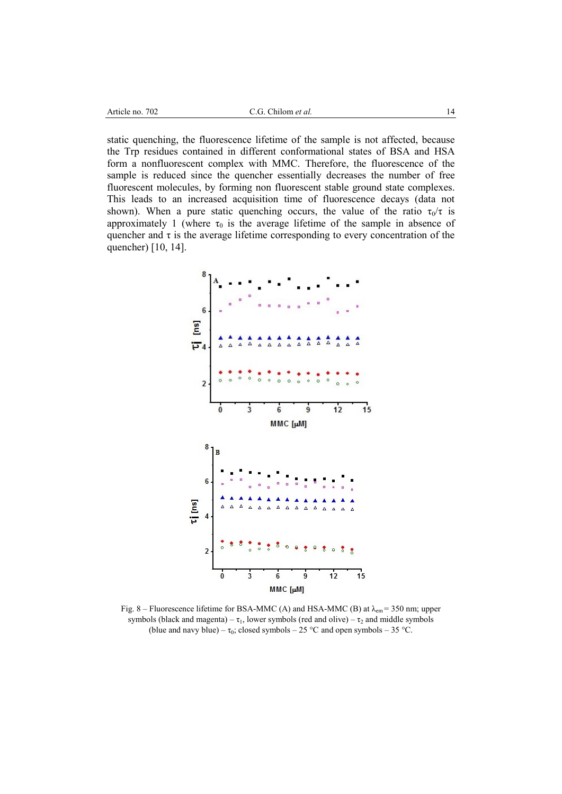static quenching, the fluorescence lifetime of the sample is not affected, because the Trp residues contained in different conformational states of BSA and HSA form a nonfluorescent complex with MMC. Therefore, the fluorescence of the sample is reduced since the quencher essentially decreases the number of free fluorescent molecules, by forming non fluorescent stable ground state complexes. This leads to an increased acquisition time of fluorescence decays (data not shown). When a pure static quenching occurs, the value of the ratio  $\tau_0/\tau$  is approximately 1 (where  $\tau_0$  is the average lifetime of the sample in absence of quencher and  $\tau$  is the average lifetime corresponding to every concentration of the quencher) [10, 14].



Fig. 8 – Fluorescence lifetime for BSA-MMC (A) and HSA-MMC (B) at  $\lambda_{em}$  = 350 nm; upper symbols (black and magenta) –  $\tau_1$ , lower symbols (red and olive) –  $\tau_2$  and middle symbols (blue and navy blue) –  $\tau_0$ ; closed symbols – 25 °C and open symbols – 35 °C.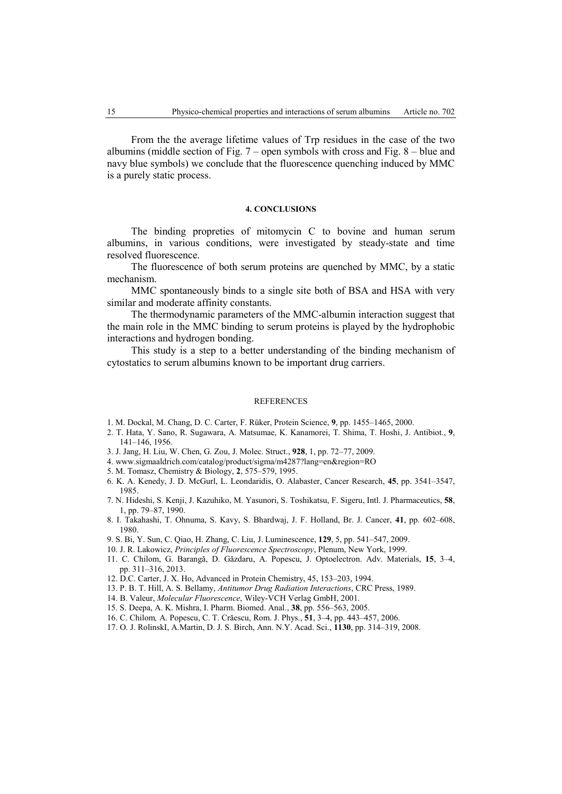From the the average lifetime values of Trp residues in the case of the two albumins (middle section of Fig.  $7$  – open symbols with cross and Fig.  $8$  – blue and navy blue symbols) we conclude that the fluorescence quenching induced by MMC is a purely static process.

## **4. CONCLUSIONS**

The binding propreties of mitomycin C to bovine and human serum albumins, in various conditions, were investigated by steady-state and time resolved fluorescence.

The fluorescence of both serum proteins are quenched by MMC, by a static mechanism.

MMC spontaneously binds to a single site both of BSA and HSA with very similar and moderate affinity constants.

The thermodynamic parameters of the MMC-albumin interaction suggest that the main role in the MMC binding to serum proteins is played by the hydrophobic interactions and hydrogen bonding.

This study is a step to a better understanding of the binding mechanism of cytostatics to serum albumins known to be important drug carriers.

#### REFERENCES

- 1. M. Dockal, M. Chang, D. C. Carter, F. Rüker, Protein Science, **9**, pp. 1455–1465, 2000.
- 2. T. Hata, Y. Sano, R. Sugawara, A. Matsumae, K. Kanamorei, T. Shima, T. Hoshi, J. Antibiot., **9**, 141–146, 1956.
- 3[. J.](http://adsabs.harvard.edu/cgi-bin/author_form?author=Jang,+J&fullauthor=Jang,%20Jongchol&charset=UTF-8&db_key=PHY) Jang[, H.](http://adsabs.harvard.edu/cgi-bin/author_form?author=Liu,+H&fullauthor=Liu,%20Hui&charset=UTF-8&db_key=PHY) Liu[, W.](http://adsabs.harvard.edu/cgi-bin/author_form?author=Chen,+W&fullauthor=Chen,%20Wei&charset=UTF-8&db_key=PHY) Chen, [G.](http://adsabs.harvard.edu/cgi-bin/author_form?author=Zou,+G&fullauthor=Zou,%20Guolin&charset=UTF-8&db_key=PHY) Zou, J. Molec. Struct., **928**, 1, pp. 72–77, 2009.
- 4[. www.sigmaaldrich.com/catalog/product/sigma/m4287?lang=en&region=RO](http://www.sigmaaldrich.com/catalog/product/sigma/m4287?lang=en®ion=RO)
- 5. M. Tomasz, Chemistry & Biology, **2**, 575–579, 1995.
- 6. K. A. Kenedy, J. D. McGurl, L. Leondaridis, O. Alabaster, Cancer Research, **45**, pp. 3541–3547, 1985.
- 7. N[. Hideshi,](http://www.sciencedirect.com/science/article/pii/037851739090290K) S[. Kenji,](http://www.sciencedirect.com/science/article/pii/037851739090290K) J. [Kazuhiko,](http://www.sciencedirect.com/science/article/pii/037851739090290K) M. [Yasunori,](http://www.sciencedirect.com/science/article/pii/037851739090290K) S. [Toshikatsu,](http://www.sciencedirect.com/science/article/pii/037851739090290K) F. Sigeru, Intl. J. [Pharmaceutics,](http://www.sciencedirect.com/science/journal/03785173) **[58](http://www.sciencedirect.com/science/journal/03785173/58/1)**, [1,](http://www.sciencedirect.com/science/journal/03785173/58/1) pp. 79–87, 1990.
- 8. I. Takahashi, T. Ohnuma, S. Kavy, S. Bhardwaj, J. F. Holland, Br. J. Cancer, **41**, pp. 602–608, 1980.
- 9. S. Bi, Y. Sun, C. Qiao, H. Zhang, C. Liu, J. Luminescence, **129**, 5, pp. 541–547, 2009.
- 10. J. R. Lakowicz, *Principles of Fluorescence Spectroscopy*, Plenum, New York, 1999.
- 11. C. Chilom, G. Barangă, D. Găzdaru, A. Popescu, J. Optoelectron. Adv. Materials, **15**, 3–4, pp. 311–316, 2013.
- 12. D.C. Carter, J. X. Ho, Advanced in Protein Chemistry, 45, 153–203, 1994.
- 13. P. B. T. Hill, A. S. Bellamy, *Antitumor Drug Radiation Interactions*, CRC Press, 1989.
- 14. B. Valeur, *Molecular Fluorescence*, Wiley-VCH Verlag GmbH, 2001.
- 15. S. Deepa, A. K. Mishra, I. Pharm. Biomed. Anal., **38**, pp. 556–563, 2005.
- 16. C. Chilom*,* A. Popescu, C. T. Crăescu, Rom. J. Phys., **51**, 3–4, pp. 443–457, 2006.
- 17. O. J. RolinskI, A.Martin, D. J. S. Birch, Ann. N.Y. Acad. Sci., **1130**, pp. 314–319, 2008.